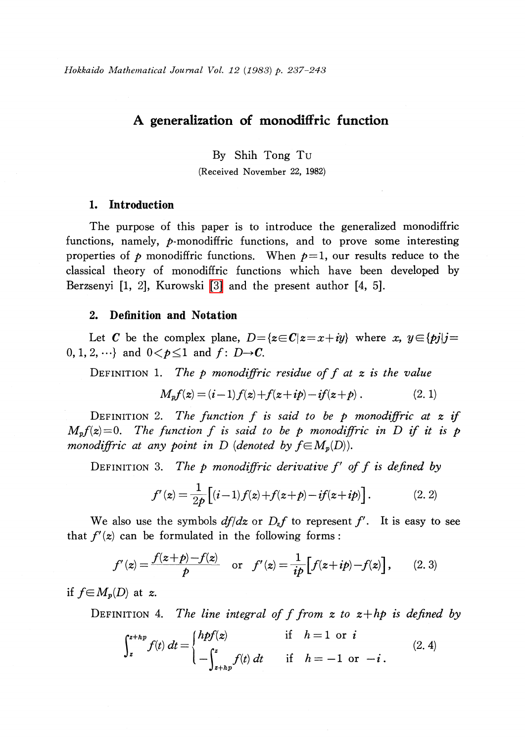## A generalization of monodiffric function

By Shih Tong Tu

(Received November 22, 1982)

### 1. Introduction

The purpose of this paper is to introduce the generalized monodiffric functions, namely, p-monodiffric functions, and to prove some interesting properties of  $p$  monodiffric functions. When  $p=1$ , our results reduce to the classical theory of monodiffric functions which have been developed by Berzsenyi [1, 2], Kurowski [\[3\]](#page-6-0) and the present author [4, 5].

### 2. Definition and Notation

Let C be the complex plane,  $D=\{z\in C|z=x+iy\}$  where x,  $y\in\{pj|j=1\}$  $0, 1, 2, \ldots\}$  and  $0 < p \leq 1$  and  $f: D \rightarrow C$ .

DEFINITION 1. The p monodiffric residue of f at  $z$  is the value

$$
M_p f(z) = (i-1) f(z) + f(z + ip) - if(z + p).
$$
 (2. 1)

DEFINITION 2. The function f is said to be p monodiffric at  $z$  if  $(z)=0$  The function f is said to be p monodiffric in D if it is p  $M_{p}f(z)=0$ . The function f is said to be p monodiffric in D if it is p<br>monodiffric at any point in D (denoted by  $f \in M(D)$ ) monodiffric at any point in D (denoted by  $f\in M_{p}(D)$ ).

DEFINITION 3. The p monodiffric derivative  $f'$  of  $f$  is defined by

$$
f'(z) = \frac{1}{2p} \left[ (i-1)f(z) + f(z+p) - if(z+ip) \right]. \tag{2.2}
$$

We also use the symbols  $df/dz$  or  $D_{z}f$  to represent f'. It is easy to see that  $f'(z)$  can be formulated in the following forms:

$$
f'(z) = \frac{f(z+p)-f(z)}{p} \quad \text{or} \quad f'(z) = \frac{1}{ip} \Big[ f(z+ip)-f(z) \Big], \qquad (2, 3)
$$

if  $f\in M_{p}(D)$  at z.

DEFINITION 4. The line integral of f from  $x$  to  $x + h$  is defined by

$$
\int_{z}^{z+hp} f(t) dt = \begin{cases} hpf(z) & \text{if} \quad h=1 \text{ or } i \\ -\int_{z+hp}^{z} f(t) dt & \text{if} \quad h=-1 \text{ or } -i \,. \end{cases} \tag{2.4}
$$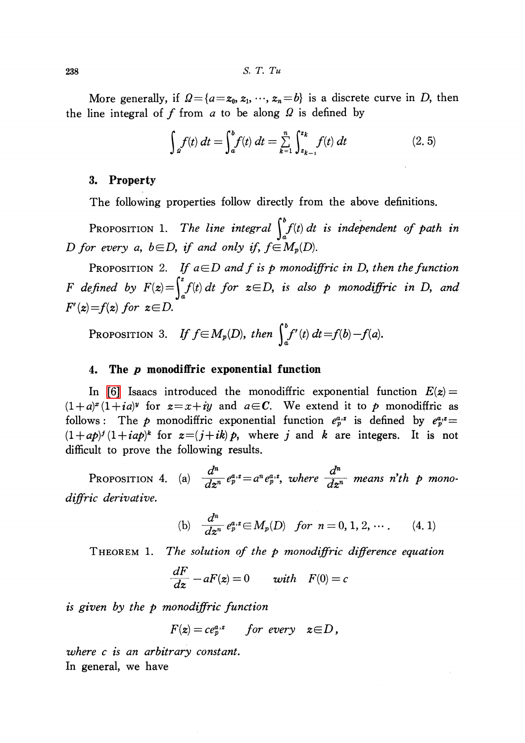238 S. T. Tu

More generally, if  $\Omega=\{a=z_{0}, z_{1},\dots, z_{n}=b\}$  is a discrete curve in D, then the line integral of f from a to be along  $\Omega$  is defined by

$$
\int_{a}^{b} f(t) dt = \int_{a}^{b} f(t) dt = \sum_{k=1}^{n} \int_{z_{k-1}}^{z_k} f(t) dt
$$
\n(2.5)

### 3. Property

The following properties follow directly from the above definitions.

PROPOSITION 1. The line integral  $\int_{a}^{b}f(t)dt$  is independent of path in D for every a,  $b \in D$ , if and only if,  $f \in M_{p}(D)$ .

PROPOSITION 2. If  $a \in D$  and f is p monodiffric in D, then the function F defined by  $F(z) = \int_{a}^{z} f(t) dt$  for  $z\in D$ , is also p monodiffric in D, and  $F'(z)=f(z)$  for  $z\in D$ .

PROPOSITION 3. If  $f \in M_{p}(D)$ , then  $\int_{a}^{b} f'(t) dt = f(b)-f(a)$ .

#### 4. The  $\bm{p}$  monodiffric exponential function

In [\[6\]](#page-6-1) Isaacs introduced the monodiffric exponential function  $E(z)$  =  $(1+a)^{x}(1+i a)^{y}$  for  $z=x+iy$  and  $a\in\mathbb{C}$ . We extend it to p monodiffric as follows: The p monodiffric exponential function  $e_{p}^{a,x}$  is defined by  $e_{p}^{a,x}=$  $(1+ap)^{j}(1+iap)^{k}$  for  $z=(j+ik)p$ , where j and k are integers. It is not difficult to prove the following results.

<span id="page-1-0"></span>PROPOSITION 4. (a)  $\frac{d^{n}}{d\sigma^{n}}e_{p}^{a,z}=a^{n}e_{p}^{a,z}$ , where  $\frac{d^{n}}{d\sigma^{n}}$  means n'th p monodiffric derivative,

(b) 
$$
\frac{d^n}{dz^n} e_p^{a,z} \in M_p(D) \text{ for } n = 0, 1, 2, \cdots. \qquad (4.1)
$$

THEOREM 1. The solution of the p monodiffric difference equation

$$
\frac{dF}{dz} - aF(z) = 0 \qquad with \quad F(0) = c
$$

is given by the p monodiffric function

$$
F(z) = ce_p^{a,z} \qquad for\ every\ z \in D,
$$

where c is an arbitrary constant. In general, we have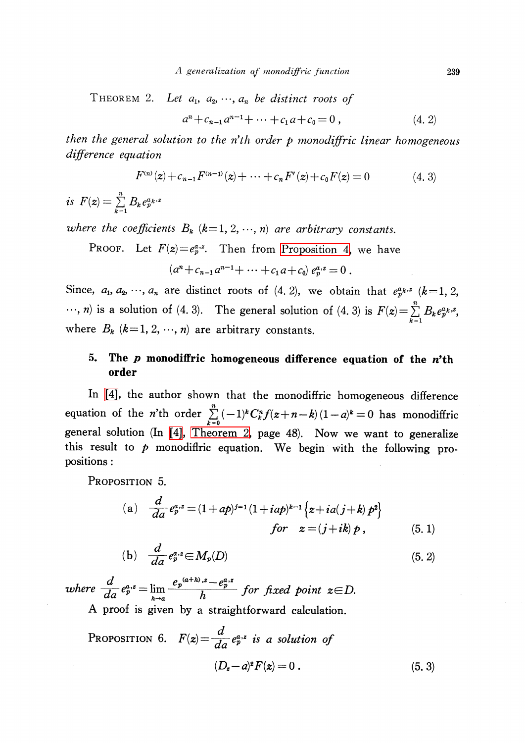<span id="page-2-0"></span>THEOREM 2. Let  $a_1, a_2, \ldots, a_{n}$  be distinct roots of

$$
a^{n} + c_{n-1}a^{n-1} + \dots + c_1a + c_0 = 0, \qquad (4.2)
$$

then the general solution to the n'th order  $p$  monodiffric linear homogeneous difference equation

$$
F^{(n)}(z) + c_{n-1}F^{(n-1)}(z) + \dots + c_nF'(z) + c_0F(z) = 0 \qquad (4.3)
$$

is  $F(z) = \sum_{k=1}^{n}B_{k}e_{p}^{a_{k},z}$ 

where the coefficients  $B_{k}$  (k=1, 2,  $\cdots$ , n) are arbitrary constants.

PROOF. Let  $F(z)=e_{p}^{a,z}$ . Then from [Proposition](#page-1-0) 4, we have

$$
(an+cn-1an-1+\cdots+c1a+c0) epa,z=0.
$$

Since,  $a_{1}$ ,  $a_{2}$ ,  $\cdots$ ,  $a_{n}$  are distinct roots of  $(4, 2)$ , we obtain that  $e_{p}^{a_{k},z}(k=1, 2, 3)$  $\ldots$ , *n*) is a solution of (4. 3). The general solution of (4. 3) is  $F(z) = \sum_{k=1}^{n}B_{k}e_{p}^{a_{k},z}$ where  $B_{k}$  (k=1, 2,  $\cdots$ , n) are arbitrary constants.

# 5. The  $\bm{p}$  monodiffric homogeneous difference equation of the  $\bm{n'}$ th order

In [\[4\],](#page-6-2) the author shown that the monodiffric homogeneous difference equation of the n'th order  $\sum_{k=0}^{n} (-1)^{k}C_{k}^{n}f(z+n-k)(1-a)^{k}=0$  has monodiffric general solution (In [\[4\],](#page-6-2) [Theorem](#page-2-0) 2, page 48). Now we want to generalize this result to  $p$  monodifiric equation. We begin with the following propositions :

PROPOSITION 5.

(a) 
$$
\frac{d}{da} e_p^{a,z} = (1+ap)^{j=1} (1+iap)^{k-1} \{z+ia(j+k) p^2\}
$$
  
for  $z = (j+ik) p$ , (5.1)

(b) 
$$
\frac{d}{da} e_p^{a,z} \in M_p(D)
$$
 (5.2)

where  $\frac{d}{da}e_{p}^{a,z}=\lim_{h\to a}\frac{e_{p}^{(a+h),z}-e_{p}^{a,z}}{h}$  for fixed point  $z\in D$ . A proof is given by a straightforward calculation.

<span id="page-2-1"></span>PROPOSITION 6. 
$$
F(z) = \frac{d}{da} e_p^{a,z}
$$
 is a solution of  
\n
$$
(D_z - a)^2 F(z) = 0.
$$
\n(5.3)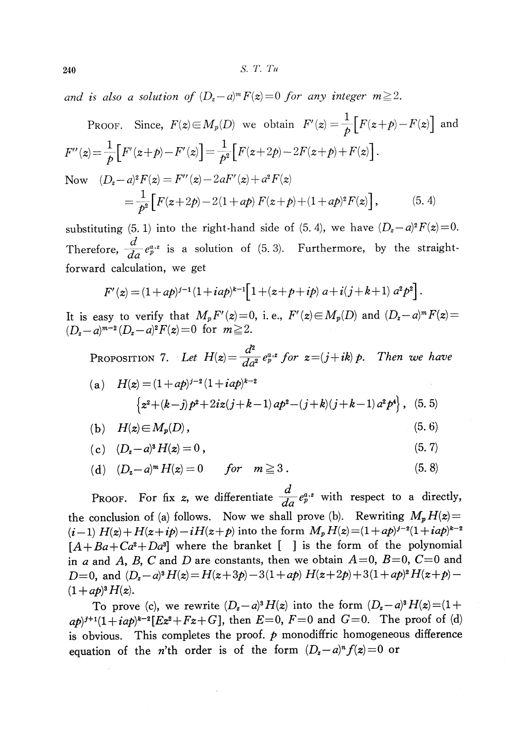240 S. T. Tu

and is also a solution of  $(D_{z}-a)^{m}F(z)=0$  for any integer  $m\geq 2$ .

PROOF. Since, 
$$
F(z) \in M_p(D)
$$
 we obtain  $F'(z) = \frac{1}{p} [F(z+p) - F(z)]$  and  
\n
$$
F''(z) = \frac{1}{p} [F'(z+p) - F'(z)] = \frac{1}{p^2} [F(z+2p) - 2F(z+p) + F(z)].
$$
\nNow  $(D_z - a)^2 F(z) = F''(z) - 2aF'(z) + a^2 F(z)$   
\n
$$
= \frac{1}{p^2} [F(z+2p) - 2(1+ap) F(z+p) + (1+ap)^2 F(z)],
$$
\n(5.4)

substituting (5. 1) into the right-hand side of (5. 4), we have  $(D_{z}-a)^{2}F(z)=0$ . Therefore,  $\frac{d}{da}e_{p}^{a,z}$  is a solution of (5. 3). Furthermore, by the straightforward calculation, we get

$$
F'(z) = (1 + ap)^{j-1} (1 + iap)^{k-1} \Big[ 1 + (z + p + ip) \ a + i(j + k + 1) \ a^2 p^2 \Big].
$$

It is easy to verify that  $M_{p}F'(z)$  =0, i.e.,  $F'(z)$   $\in$   $M_{p}(D)$  and  $(D_{z}-a)^{m}F(z)$  =  $(D_{z}-a)^{m-2}(D_{z}-a)^{2}F(z)=0$  for  $m\geq 2$ .

PROPOSITION 7. Let  $H(z) = \frac{d^{2}}{d\alpha^{2}}e_{p}^{a,z}$  for  $z=(j+ik)p$ . Then we have

(a) 
$$
H(z) = (1 + ap)^{j-2} (1 + iap)^{k-2}
$$
  
\n
$$
\left\{ z^2 + (k-j) p^2 + 2iz(j+k-1) ap^2 - (j+k)(j+k-1) a^2 p^4 \right\}, (5, 5)
$$

$$
(b) \quad H(z) \in M_p(D), \tag{5.6}
$$

(c) 
$$
(D_z - a)^s H(z) = 0
$$
, (5.7)

(d) 
$$
(D_z - a)^m H(z) = 0
$$
 for  $m \ge 3$ . (5.8)

PROOF. For fix z, we differentiate  $\frac{d}{da}e_{p}^{a,z}$  with respect to a directly, the conclusion of (a) follows. Now we shall prove (b). Rewriting  $M_{p}H(z)=$  $(i-1)H(z)+H(z+i\rho)-iH(z+\rho)$  into the form  $M_{p}H(z)=(1+ap)^{j-2}(1+iap)^{k-2}$  $[A+Ba+Ca^{2}+Da^{3}]$  where the branket [ ] is the form of the polynomial in a and A, B, C and D are constants, then we obtain  $A=0$ ,  $B=0$ ,  $C=0$  and D=0, and  $(D_{z}-a)^{3}H(z)=H(z+3p)-3(1+ap)H(z+2p)+3(1+ap)^{2}H(z+p) (1+ap)^{3}H(z)$ .

To prove (c), we rewrite  $(D_{z}-a)^{3}H(z)$  into the form  $(D_{z}-a)^{3}H(z)=(1+$  $a(p)^{j+1}(1+iap)^{k-2}[Ez^{2}+Fz+G]$ , then  $E=0$ ,  $F=0$  and  $G=0$ . The proof of (d) is obvious. This completes the proof,  $p$  monodiffric homogeneous difference equation of the n'th order is of the form  $(D_{z}-a)^{n}f(z)=0$  or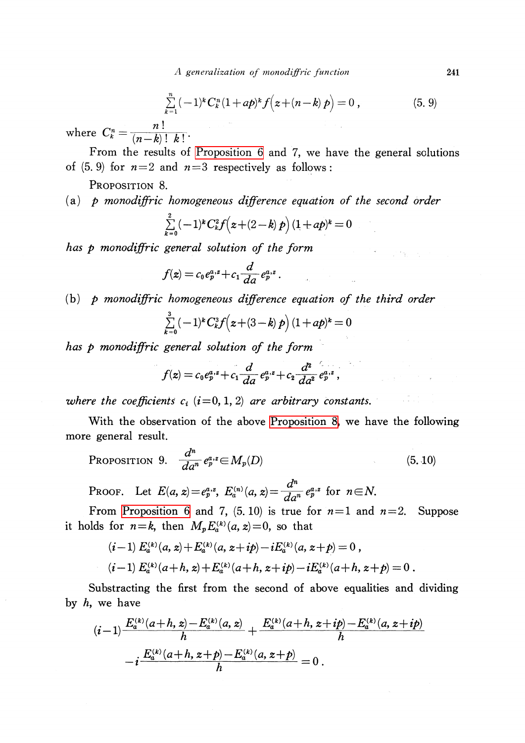A generalization of monodiffric function 241

$$
\sum_{k=1}^{n} (-1)^{k} C_{k}^{n} (1 + ap)^{k} f(z + (n - k) p) = 0 , \qquad (5.9)
$$

where  $C_{k}^{n} = \frac{n!}{(n-k)!k!}$ .

From the results of [Proposition](#page-2-1) 6 and 7, we have the general solutions of  $(5, 9)$  for  $n=2$  and  $n=3$  respectively as follows:

<span id="page-4-0"></span>PROPOSITION 8.

# (a)  $p$  monodiffric homogeneous difference equation of the second order

$$
\sum_{k=0}^{2} (-1)^{k} C_{k}^{2} f(z + (2-k) p) (1 + ap)^{k} = 0
$$

has p monodiffric general solution of the form

$$
f(z) = c_0 e_p^{a,z} + c_1 \frac{d}{da} e_p^{a,z}.
$$

## $(b)$  p monodiffric homogeneous difference equation of the third order

$$
\sum_{k=0}^{3} (-1)^{k} C_{k}^{3} f(z + (3-k) p) (1 + ap)^{k} = 0
$$

has p monodiffric general solution of the form

$$
f(z) = c_0 e_p^{a,z} + c_1 \frac{d}{da} e_p^{a,z} + c_2 \frac{d^2}{da^2} e_p^{a,z},
$$

where the coefficients  $c_{i}$  (i=0, 1, 2) are arbitrary constants.

With the observation of the above [Proposition](#page-4-0) 8, we have the following more general result.

PROPOSITION 9. 
$$
\frac{d^n}{da^n} e_p^{a,z} \in M_p(D)
$$
 (5.10)

PROOF. Let  $E(a, z)=e_{p}^{a,z}, E_{a}^{(n)}(a, z)= \frac{d^{n}}{da^{n}}e_{p}^{a,z}$  for  $n\in N$ .

From [Proposition](#page-2-1) 6 and 7, (5.10) is true for  $n=1$  and  $n=2$ . Suppose it holds for  $n=k$ , then  $M_{p}E_{a}^{(k)}(a, z)=0$ , so that

$$
(i-1) E_a^{(k)}(a, z) + E_a^{(k)}(a, z + ip) - i E_a^{(k)}(a, z + p) = 0,
$$
  
\n
$$
(i-1) E_a^{(k)}(a+h, z) + E_a^{(k)}(a+h, z + ip) - i E_a^{(k)}(a+h, z + p) = 0.
$$

Substracting the first from the second of above equalities and dividing by  $h$ , we have

$$
(i-1)\frac{E_a^{(k)}(a+h, z)-E_a^{(k)}(a, z)}{h} + \frac{E_a^{(k)}(a+h, z+i p)-E_a^{(k)}(a, z+i p)}{h}
$$

$$
-i\frac{E_a^{(k)}(a+h, z+p)-E_a^{(k)}(a, z+p)}{h} = 0.
$$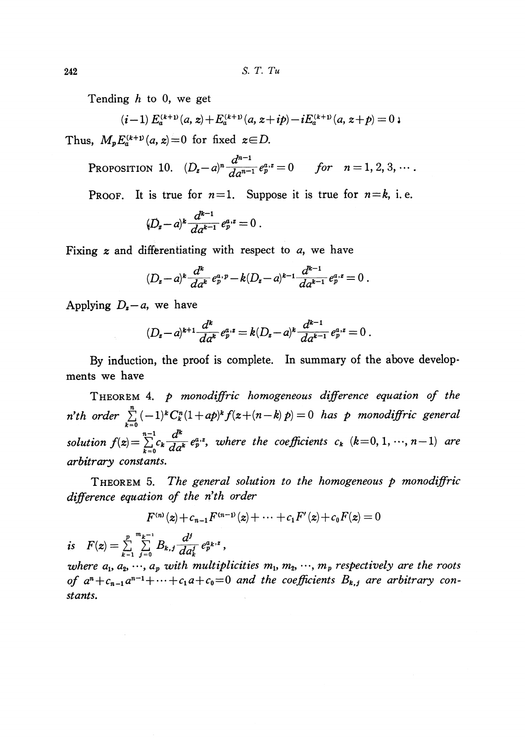Tending  $h$  to 0, we get

$$
(i-1) E_a^{(k+1)}(a, z) + E_a^{(k+1)}(a, z+i p) - i E_a^{(k+1)}(a, z+p) = 0
$$

Thus,  $M_{p}E_{a}^{(k+1)}(a, z)=0$  for fixed  $z\in D$ .

PROPOSITION 10.  $(D_{z}-a)^{n} \frac{d^{n-1}}{da^{n-1}}e_{p}^{a,z}=0$  for  $n=1,2,3, \cdots$ .

PROOF. It is true for  $n=1$ . Suppose it is true for  $n=k$ , i.e.

$$
(D_z-a)^k \frac{d^{k-1}}{da^{k-1}} e_p^{a,z} = 0.
$$

Fixing  $z$  and differentiating with respect to  $a$ , we have

$$
(D_z-a)^k\frac{d^k}{da^k}e_p^{a,p}-k(D_z-a)^{k-1}\frac{d^{k-1}}{da^{k-1}}e_p^{a,z}=0.
$$

Applying  $D_{z}-a$ , we have

$$
(D_z-a)^{k+1}\frac{d^k}{da^k}e_p^{a,z}=k(D_z-a)^k\frac{d^{k-1}}{da^{k-1}}e_p^{a,z}=0.
$$

By induction, the proof is complete. In summary of the above developments we have

THEOREM 4. p monodiffric homogeneous difference equation of the n'th order  $\sum_{k=0}^{n} (-1)^{k}C_{k}^{n}(1+ap)^{k}f(z+(n-k)p)=0$  has p monodiffric general solution  $f(z) = \sum_{k=0}^{n-1}c_{k}\frac{d^{k}}{d\sigma^{k}} e_{p}^{a,z}$ , where the coefficients  $c_{k}$  (k=0,1, ..., n-1) are arbitrary constants.

THEOREM 5. The general solution to the homogeneous  $p$  monodiffric difference equation of the n'th order

$$
F^{(n)}(z) + c_{n-1}F^{(n-1)}(z) + \cdots + c_1F'(z) + c_0F(z) = 0
$$

is  $F(z)=\sum_{k=1}^{\infty}\sum_{j=0}^{n}B_{k,j}\frac{d^{j}}{d\sigma_{j}}e_{p}^{a_{k},z}$ 

where  $a_{1} , a_{2} , \cdots , a_{p}$  with multiplicities  $m_{1} , m_{2} , \cdots , m_{p}$  respectively are the roots of  $a^{n}+c_{n-1}a^{n-1}+\cdots+c_{1}a+c_{0}=0$  and the coefficients  $B_{k,j}$  are arbitrary constants.